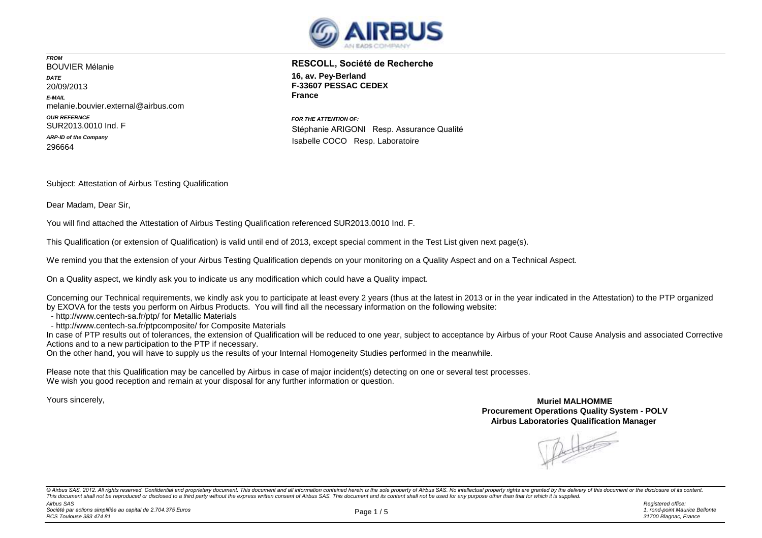

*FROM* BOUVIER Mélanie *DATE* 20/09/2013 *E-MAIL* melanie.bouvier.external@airbus.com *OUR REFERNCE* SUR2013.0010 Ind. F *ARP-ID of the Company* 296664

**16, av. Pey-Berland F-33607 PESSAC CEDEX France RESCOLL, Société de Recherche**

*FOR THE ATTENTION OF:* Stéphanie ARIGONI Resp. Assurance Qualité Isabelle COCO Resp. Laboratoire

Subject: Attestation of Airbus Testing Qualification

Dear Madam, Dear Sir,

You will find attached the Attestation of Airbus Testing Qualification referenced SUR2013.0010 Ind. F.

This Qualification (or extension of Qualification) is valid until end of 2013, except special comment in the Test List given next page(s).

We remind you that the extension of your Airbus Testing Qualification depends on your monitoring on a Quality Aspect and on a Technical Aspect.

On a Quality aspect, we kindly ask you to indicate us any modification which could have a Quality impact.

Concerning our Technical requirements, we kindly ask you to participate at least every 2 years (thus at the latest in 2013 or in the year indicated in the Attestation) to the PTP organized by EXOVA for the tests you perform on Airbus Products. You will find all the necessary information on the following website:

- http://www.centech-sa.fr/ptp/ for Metallic Materials

- http://www.centech-sa.fr/ptpcomposite/ for Composite Materials

In case of PTP results out of tolerances, the extension of Qualification will be reduced to one year, subject to acceptance by Airbus of your Root Cause Analysis and associated Corrective Actions and to a new participation to the PTP if necessary.

On the other hand, you will have to supply us the results of your Internal Homogeneity Studies performed in the meanwhile.

Please note that this Qualification may be cancelled by Airbus in case of major incident(s) detecting on one or several test processes. We wish you good reception and remain at your disposal for any further information or question.

Yours sincerely,

**Muriel MALHOMME Procurement Operations Quality System - POLV Airbus Laboratories Qualification Manager** 

 $\frac{1}{2}$ 

*Airbus SAS Registered office:* © Airbus SAS, 2012. All rights reserved. Confidential and proprietary document. This document and all information contained herein is the sole property of Airbus SAS. No intellectual property rights are granted by the deli This document shall not be reproduced or disclosed to a third party without the express written consent of Airbus SAS. This document and its content shall not be used for any purpose other than that for which it is supplie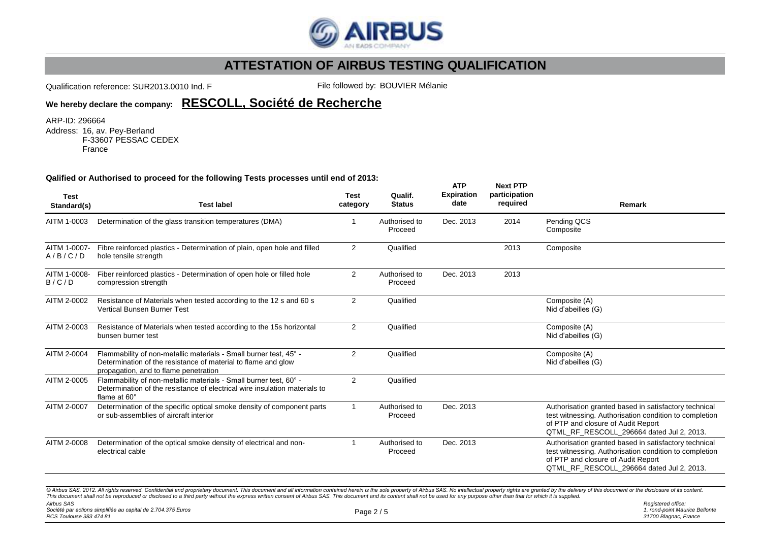

Qualification reference: SUR2013.0010 Ind. F File followed by: BOUVIER Mélanie

**ATP**

**Next PTP** 

### **We hereby declare the company: RESCOLL, Société de Recherche**

ARP-ID: 296664

Address: 16, av. Pey-Berland F-33607 PESSAC CEDEX France

### **Qalified or Authorised to proceed for the following Tests processes until end of 2013:**

| <b>Test</b><br>Standard(s) | <b>Test label</b>                                                                                                                                                                                                                                                                                                                                                                                                                                                | <b>Test</b><br>category | Qualif.<br><b>Status</b> | <b>AIP</b><br><b>Expiration</b><br>date | <b>NEXT FIF</b><br>participation<br>required | Remark                                                                                                                                                                                             |
|----------------------------|------------------------------------------------------------------------------------------------------------------------------------------------------------------------------------------------------------------------------------------------------------------------------------------------------------------------------------------------------------------------------------------------------------------------------------------------------------------|-------------------------|--------------------------|-----------------------------------------|----------------------------------------------|----------------------------------------------------------------------------------------------------------------------------------------------------------------------------------------------------|
| AITM 1-0003                | Determination of the glass transition temperatures (DMA)                                                                                                                                                                                                                                                                                                                                                                                                         |                         | Authorised to<br>Proceed | Dec. 2013                               | 2014                                         | Pending QCS<br>Composite                                                                                                                                                                           |
| AITM 1-0007-<br>A/B/C/D    | Fibre reinforced plastics - Determination of plain, open hole and filled<br>hole tensile strength                                                                                                                                                                                                                                                                                                                                                                | $\overline{2}$          | Qualified                |                                         | 2013                                         | Composite                                                                                                                                                                                          |
| AITM 1-0008-<br>B/C/D      | Fiber reinforced plastics - Determination of open hole or filled hole<br>compression strength                                                                                                                                                                                                                                                                                                                                                                    | $\overline{2}$          | Authorised to<br>Proceed | Dec. 2013                               | 2013                                         |                                                                                                                                                                                                    |
| AITM 2-0002                | Resistance of Materials when tested according to the 12 s and 60 s<br><b>Vertical Bunsen Burner Test</b>                                                                                                                                                                                                                                                                                                                                                         | 2                       | Qualified                |                                         |                                              | Composite (A)<br>Nid d'abeilles (G)                                                                                                                                                                |
| AITM 2-0003                | Resistance of Materials when tested according to the 15s horizontal<br>bunsen burner test                                                                                                                                                                                                                                                                                                                                                                        | $\overline{2}$          | Qualified                |                                         |                                              | Composite (A)<br>Nid d'abeilles (G)                                                                                                                                                                |
| AITM 2-0004                | Flammability of non-metallic materials - Small burner test, 45° -<br>Determination of the resistance of material to flame and glow<br>propagation, and to flame penetration                                                                                                                                                                                                                                                                                      | $\overline{2}$          | Qualified                |                                         |                                              | Composite (A)<br>Nid d'abeilles (G)                                                                                                                                                                |
| AITM 2-0005                | Flammability of non-metallic materials - Small burner test, 60° -<br>Determination of the resistance of electrical wire insulation materials to<br>flame at 60°                                                                                                                                                                                                                                                                                                  | $\overline{2}$          | Qualified                |                                         |                                              |                                                                                                                                                                                                    |
| AITM 2-0007                | Determination of the specific optical smoke density of component parts<br>or sub-assemblies of aircraft interior                                                                                                                                                                                                                                                                                                                                                 | $\mathbf{1}$            | Authorised to<br>Proceed | Dec. 2013                               |                                              | Authorisation granted based in satisfactory technical<br>test witnessing. Authorisation condition to completion<br>of PTP and closure of Audit Report<br>QTML_RF_RESCOLL_296664 dated Jul 2, 2013. |
| AITM 2-0008                | Determination of the optical smoke density of electrical and non-<br>electrical cable                                                                                                                                                                                                                                                                                                                                                                            |                         | Authorised to<br>Proceed | Dec. 2013                               |                                              | Authorisation granted based in satisfactory technical<br>test witnessing. Authorisation condition to completion<br>of PTP and closure of Audit Report<br>QTML RF RESCOLL 296664 dated Jul 2, 2013. |
|                            | © Airbus SAS, 2012. All rights reserved. Confidential and proprietary document. This document and all information contained herein is the sole property of Airbus SAS. No intellectual property rights are granted by the deli<br>This document shall not be reproduced or disclosed to a third party without the express written consent of Airbus SAS. This document and its content shall not be used for any purpose other than that for which it is supplie |                         |                          |                                         |                                              |                                                                                                                                                                                                    |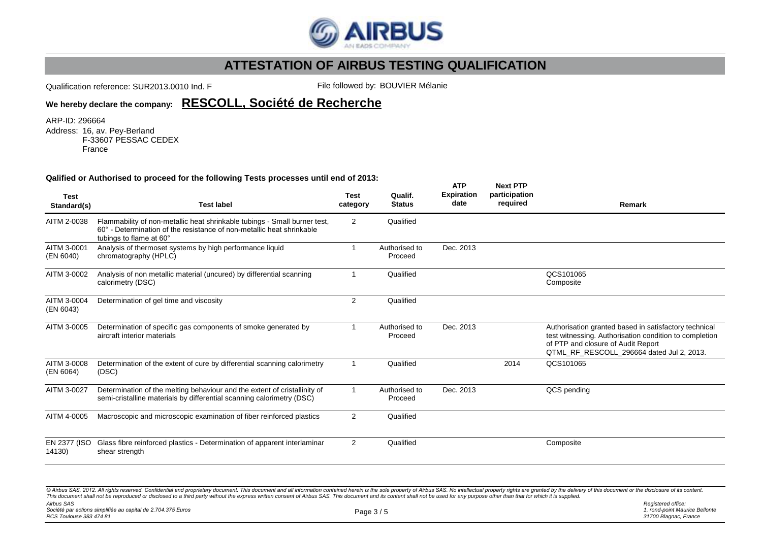

Qualification reference: SUR2013.0010 Ind. F File followed by: BOUVIER Mélanie

### **We hereby declare the company: RESCOLL, Société de Recherche**

ARP-ID: 296664

Address: 16, av. Pey-Berland F-33607 PESSAC CEDEX France

#### **Qalified or Authorised to proceed for the following Tests processes until end of 2013:**

| <b>Test</b><br>Standard(s) | <b>Test label</b>                                                                                                                                                             | <b>Test</b><br>category | Qualif.<br><b>Status</b> | <b>ATP</b><br><b>Expiration</b><br>date | <b>Next PTP</b><br>participation<br>required | Remark                                                                                                                                                                                             |  |
|----------------------------|-------------------------------------------------------------------------------------------------------------------------------------------------------------------------------|-------------------------|--------------------------|-----------------------------------------|----------------------------------------------|----------------------------------------------------------------------------------------------------------------------------------------------------------------------------------------------------|--|
| AITM 2-0038                | Flammability of non-metallic heat shrinkable tubings - Small burner test,<br>60° - Determination of the resistance of non-metallic heat shrinkable<br>tubings to flame at 60° | $\overline{2}$          | Qualified                |                                         |                                              |                                                                                                                                                                                                    |  |
| AITM 3-0001<br>(EN 6040)   | Analysis of thermoset systems by high performance liquid<br>chromatography (HPLC)                                                                                             |                         | Authorised to<br>Proceed | Dec. 2013                               |                                              |                                                                                                                                                                                                    |  |
| AITM 3-0002                | Analysis of non metallic material (uncured) by differential scanning<br>calorimetry (DSC)                                                                                     |                         | Qualified                |                                         |                                              | QCS101065<br>Composite                                                                                                                                                                             |  |
| AITM 3-0004<br>(EN 6043)   | Determination of gel time and viscosity                                                                                                                                       | 2                       | Qualified                |                                         |                                              |                                                                                                                                                                                                    |  |
| AITM 3-0005                | Determination of specific gas components of smoke generated by<br>aircraft interior materials                                                                                 |                         | Authorised to<br>Proceed | Dec. 2013                               |                                              | Authorisation granted based in satisfactory technical<br>test witnessing. Authorisation condition to completion<br>of PTP and closure of Audit Report<br>QTML_RF_RESCOLL_296664 dated Jul 2, 2013. |  |
| AITM 3-0008<br>(EN 6064)   | Determination of the extent of cure by differential scanning calorimetry<br>(DSC)                                                                                             |                         | Qualified                |                                         | 2014                                         | QCS101065                                                                                                                                                                                          |  |
| AITM 3-0027                | Determination of the melting behaviour and the extent of cristallinity of<br>semi-cristalline materials by differential scanning calorimetry (DSC)                            |                         | Authorised to<br>Proceed | Dec. 2013                               |                                              | QCS pending                                                                                                                                                                                        |  |
| AITM 4-0005                | Macroscopic and microscopic examination of fiber reinforced plastics                                                                                                          | $\overline{2}$          | Qualified                |                                         |                                              |                                                                                                                                                                                                    |  |
| EN 2377 (ISO<br>14130)     | Glass fibre reinforced plastics - Determination of apparent interlaminar<br>shear strength                                                                                    | 2                       | Qualified                |                                         |                                              | Composite                                                                                                                                                                                          |  |

*Airbus SAS Société par actions simplifiée au capital de 2.704.375 Euros RCS Toulouse 383 474 81 Registered office:* Page 3 / 5 @ Airbus SAS, 2012. All rights reserved. Confidential and proprietary document. This document and all information contained herein is the sole property of Airbus SAS. No intellectual property rights are granted by the deli This document shall not be reproduced or disclosed to a third party without the express written consent of Airbus SAS. This document and its content shall not be used for any purpose other than that for which it is supplie

*1, rond-point Maurice Bellonte 31700 Blagnac, France*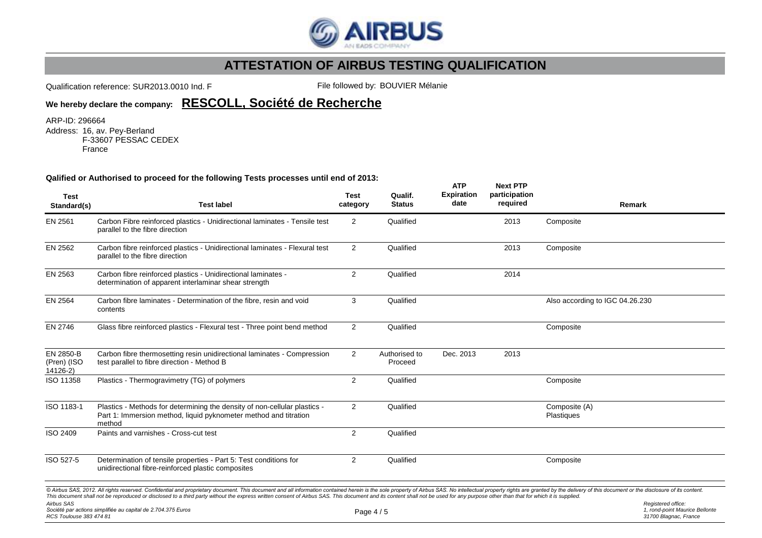

Qualification reference: SUR2013.0010 Ind. F File followed by: BOUVIER Mélanie

**We hereby declare the company: RESCOLL, Société de Recherche**

ARP-ID: 296664

Address: 16, av. Pey-Berland F-33607 PESSAC CEDEX France

#### **Qalified or Authorised to proceed for the following Tests processes until end of 2013:**

| <b>Test</b>                                  | <b>Test label</b>                                                                                                                                                                                                                                                                                                                                                                                                                                                                                                                | <b>Test</b><br>category | Qualif.<br><b>Status</b> | <b>ATP</b><br><b>Expiration</b><br>date | <b>Next PTP</b><br>participation<br>required |                                 | Remark                                                                        |
|----------------------------------------------|----------------------------------------------------------------------------------------------------------------------------------------------------------------------------------------------------------------------------------------------------------------------------------------------------------------------------------------------------------------------------------------------------------------------------------------------------------------------------------------------------------------------------------|-------------------------|--------------------------|-----------------------------------------|----------------------------------------------|---------------------------------|-------------------------------------------------------------------------------|
| Standard(s)                                  |                                                                                                                                                                                                                                                                                                                                                                                                                                                                                                                                  |                         |                          |                                         |                                              |                                 |                                                                               |
| EN 2561                                      | Carbon Fibre reinforced plastics - Unidirectional laminates - Tensile test<br>parallel to the fibre direction                                                                                                                                                                                                                                                                                                                                                                                                                    | $\overline{2}$          | Qualified                |                                         | 2013                                         | Composite                       |                                                                               |
| EN 2562                                      | Carbon fibre reinforced plastics - Unidirectional laminates - Flexural test<br>parallel to the fibre direction                                                                                                                                                                                                                                                                                                                                                                                                                   | 2                       | Qualified                |                                         | 2013                                         | Composite                       |                                                                               |
| EN 2563                                      | Carbon fibre reinforced plastics - Unidirectional laminates -<br>determination of apparent interlaminar shear strength                                                                                                                                                                                                                                                                                                                                                                                                           | $\overline{2}$          | Qualified                |                                         | 2014                                         |                                 |                                                                               |
| EN 2564                                      | Carbon fibre laminates - Determination of the fibre, resin and void<br>contents                                                                                                                                                                                                                                                                                                                                                                                                                                                  | 3                       | Qualified                |                                         |                                              | Also according to IGC 04.26.230 |                                                                               |
| EN 2746                                      | Glass fibre reinforced plastics - Flexural test - Three point bend method                                                                                                                                                                                                                                                                                                                                                                                                                                                        | $\overline{2}$          | Qualified                |                                         |                                              | Composite                       |                                                                               |
| EN 2850-B<br>(Pren) (ISO<br>14126-2)         | Carbon fibre thermosetting resin unidirectional laminates - Compression<br>test parallel to fibre direction - Method B                                                                                                                                                                                                                                                                                                                                                                                                           | $\overline{2}$          | Authorised to<br>Proceed | Dec. 2013                               | 2013                                         |                                 |                                                                               |
| ISO 11358                                    | Plastics - Thermogravimetry (TG) of polymers                                                                                                                                                                                                                                                                                                                                                                                                                                                                                     | $\overline{2}$          | Qualified                |                                         |                                              | Composite                       |                                                                               |
| ISO 1183-1                                   | Plastics - Methods for determining the density of non-cellular plastics -<br>Part 1: Immersion method, liquid pyknometer method and titration<br>method                                                                                                                                                                                                                                                                                                                                                                          | $\overline{2}$          | Qualified                |                                         |                                              | Composite (A)<br>Plastiques     |                                                                               |
| ISO 2409                                     | Paints and varnishes - Cross-cut test                                                                                                                                                                                                                                                                                                                                                                                                                                                                                            | $\overline{2}$          | Qualified                |                                         |                                              |                                 |                                                                               |
| ISO 527-5                                    | Determination of tensile properties - Part 5: Test conditions for<br>unidirectional fibre-reinforced plastic composites                                                                                                                                                                                                                                                                                                                                                                                                          | $\overline{2}$          | Qualified                |                                         |                                              | Composite                       |                                                                               |
| <b>Airbus SAS</b><br>RCS Toulouse 383 474 81 | © Airbus SAS, 2012. All rights reserved. Confidential and proprietary document. This document and all information contained herein is the sole property of Airbus SAS. No intellectual property rights are granted by the deli<br>This document shall not be reproduced or disclosed to a third party without the express written consent of Airbus SAS. This document and its content shall not be used for any purpose other than that for which it is supplie<br>Société par actions simplifiée au capital de 2.704.375 Euros | Page $4/5$              |                          |                                         |                                              |                                 | Registered office:<br>1, rond-point Maurice Bellonte<br>31700 Blagnac, France |